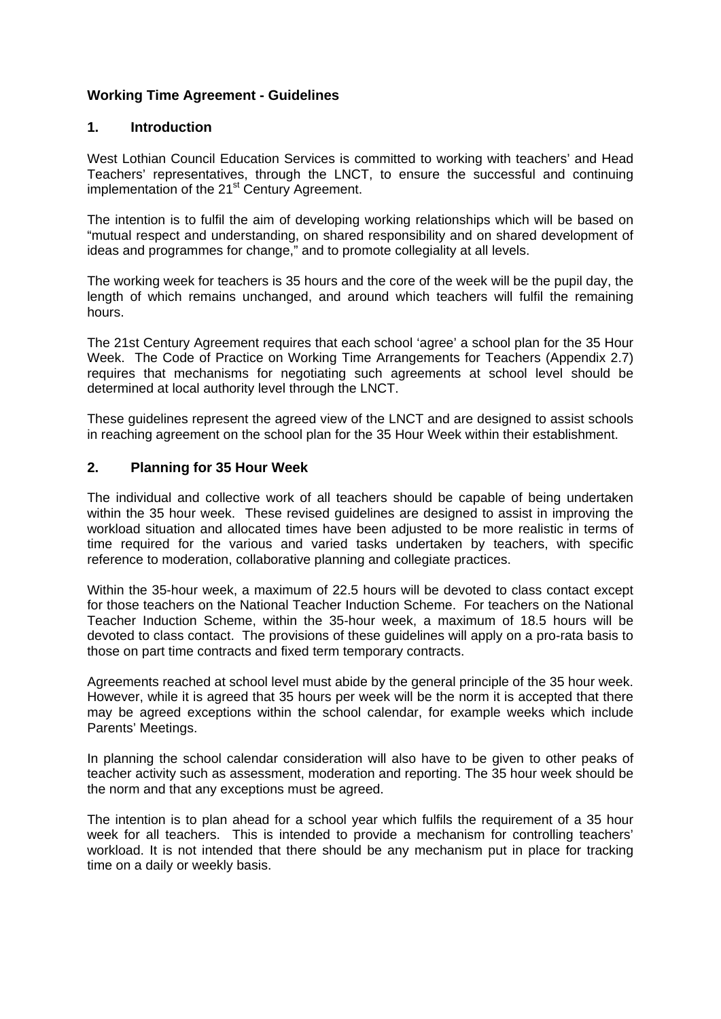## **Working Time Agreement - Guidelines**

### **1. Introduction**

West Lothian Council Education Services is committed to working with teachers' and Head Teachers' representatives, through the LNCT, to ensure the successful and continuing implementation of the 21<sup>st</sup> Century Agreement.

The intention is to fulfil the aim of developing working relationships which will be based on "mutual respect and understanding, on shared responsibility and on shared development of ideas and programmes for change," and to promote collegiality at all levels.

The working week for teachers is 35 hours and the core of the week will be the pupil day, the length of which remains unchanged, and around which teachers will fulfil the remaining hours.

The 21st Century Agreement requires that each school 'agree' a school plan for the 35 Hour Week. The Code of Practice on Working Time Arrangements for Teachers (Appendix 2.7) requires that mechanisms for negotiating such agreements at school level should be determined at local authority level through the LNCT.

These guidelines represent the agreed view of the LNCT and are designed to assist schools in reaching agreement on the school plan for the 35 Hour Week within their establishment.

#### **2. Planning for 35 Hour Week**

The individual and collective work of all teachers should be capable of being undertaken within the 35 hour week. These revised guidelines are designed to assist in improving the workload situation and allocated times have been adjusted to be more realistic in terms of time required for the various and varied tasks undertaken by teachers, with specific reference to moderation, collaborative planning and collegiate practices.

Within the 35-hour week, a maximum of 22.5 hours will be devoted to class contact except for those teachers on the National Teacher Induction Scheme. For teachers on the National Teacher Induction Scheme, within the 35-hour week, a maximum of 18.5 hours will be devoted to class contact. The provisions of these guidelines will apply on a pro-rata basis to those on part time contracts and fixed term temporary contracts.

Agreements reached at school level must abide by the general principle of the 35 hour week. However, while it is agreed that 35 hours per week will be the norm it is accepted that there may be agreed exceptions within the school calendar, for example weeks which include Parents' Meetings.

In planning the school calendar consideration will also have to be given to other peaks of teacher activity such as assessment, moderation and reporting. The 35 hour week should be the norm and that any exceptions must be agreed.

The intention is to plan ahead for a school year which fulfils the requirement of a 35 hour week for all teachers. This is intended to provide a mechanism for controlling teachers' workload. It is not intended that there should be any mechanism put in place for tracking time on a daily or weekly basis.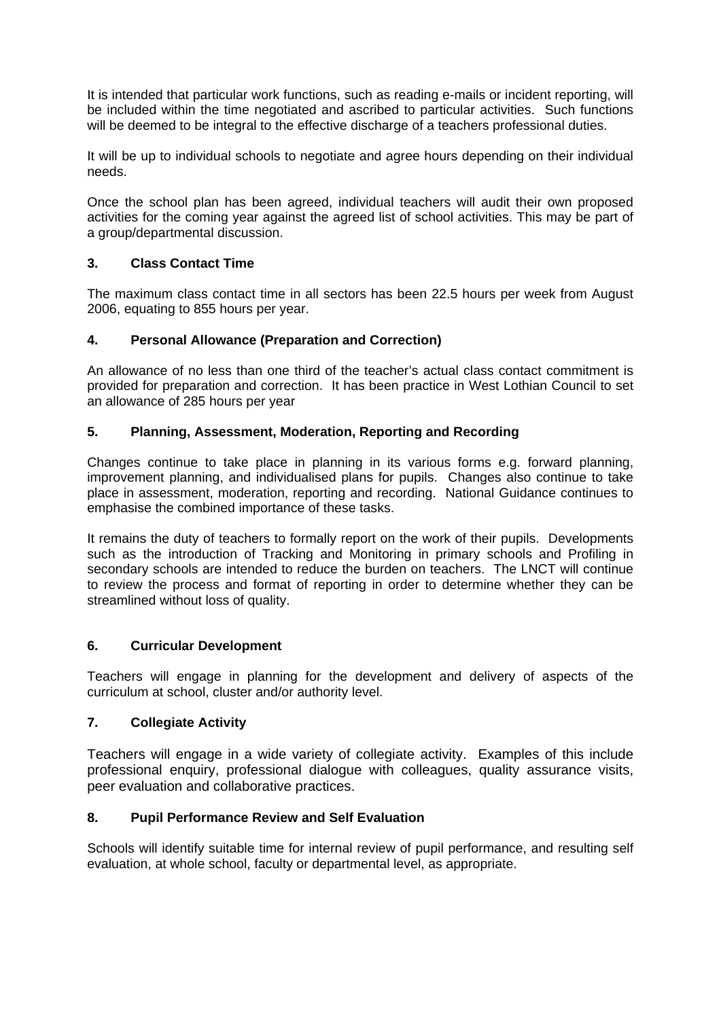It is intended that particular work functions, such as reading e-mails or incident reporting, will be included within the time negotiated and ascribed to particular activities. Such functions will be deemed to be integral to the effective discharge of a teachers professional duties.

It will be up to individual schools to negotiate and agree hours depending on their individual needs.

Once the school plan has been agreed, individual teachers will audit their own proposed activities for the coming year against the agreed list of school activities. This may be part of a group/departmental discussion.

## **3. Class Contact Time**

The maximum class contact time in all sectors has been 22.5 hours per week from August 2006, equating to 855 hours per year.

#### **4. Personal Allowance (Preparation and Correction)**

An allowance of no less than one third of the teacher's actual class contact commitment is provided for preparation and correction. It has been practice in West Lothian Council to set an allowance of 285 hours per year

#### **5. Planning, Assessment, Moderation, Reporting and Recording**

Changes continue to take place in planning in its various forms e.g. forward planning, improvement planning, and individualised plans for pupils. Changes also continue to take place in assessment, moderation, reporting and recording. National Guidance continues to emphasise the combined importance of these tasks.

It remains the duty of teachers to formally report on the work of their pupils. Developments such as the introduction of Tracking and Monitoring in primary schools and Profiling in secondary schools are intended to reduce the burden on teachers. The LNCT will continue to review the process and format of reporting in order to determine whether they can be streamlined without loss of quality.

#### **6. Curricular Development**

Teachers will engage in planning for the development and delivery of aspects of the curriculum at school, cluster and/or authority level.

#### **7. Collegiate Activity**

Teachers will engage in a wide variety of collegiate activity. Examples of this include professional enquiry, professional dialogue with colleagues, quality assurance visits, peer evaluation and collaborative practices.

#### **8. Pupil Performance Review and Self Evaluation**

Schools will identify suitable time for internal review of pupil performance, and resulting self evaluation, at whole school, faculty or departmental level, as appropriate.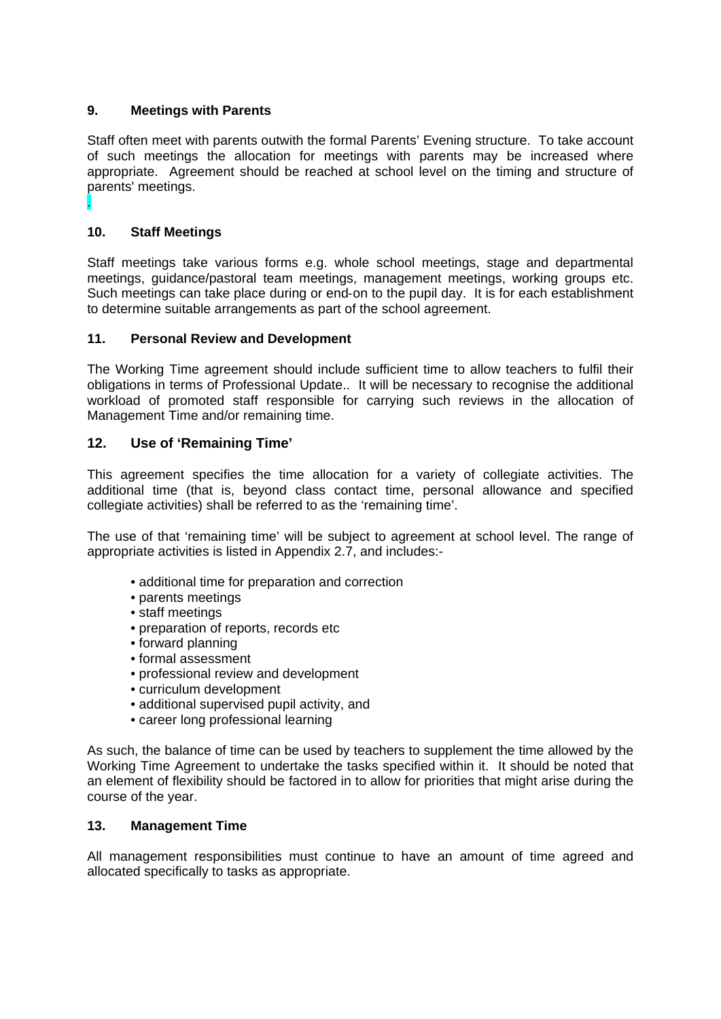## **9. Meetings with Parents**

Staff often meet with parents outwith the formal Parents' Evening structure. To take account of such meetings the allocation for meetings with parents may be increased where appropriate. Agreement should be reached at school level on the timing and structure of parents' meetings.

# **10. Staff Meetings**

.

Staff meetings take various forms e.g. whole school meetings, stage and departmental meetings, guidance/pastoral team meetings, management meetings, working groups etc. Such meetings can take place during or end-on to the pupil day. It is for each establishment to determine suitable arrangements as part of the school agreement.

#### **11. Personal Review and Development**

The Working Time agreement should include sufficient time to allow teachers to fulfil their obligations in terms of Professional Update.. It will be necessary to recognise the additional workload of promoted staff responsible for carrying such reviews in the allocation of Management Time and/or remaining time.

### **12. Use of 'Remaining Time'**

This agreement specifies the time allocation for a variety of collegiate activities. The additional time (that is, beyond class contact time, personal allowance and specified collegiate activities) shall be referred to as the 'remaining time'.

The use of that 'remaining time' will be subject to agreement at school level. The range of appropriate activities is listed in Appendix 2.7, and includes:-

- additional time for preparation and correction
- parents meetings
- staff meetings
- preparation of reports, records etc
- forward planning
- formal assessment
- professional review and development
- curriculum development
- additional supervised pupil activity, and
- career long professional learning

As such, the balance of time can be used by teachers to supplement the time allowed by the Working Time Agreement to undertake the tasks specified within it. It should be noted that an element of flexibility should be factored in to allow for priorities that might arise during the course of the year.

#### **13. Management Time**

All management responsibilities must continue to have an amount of time agreed and allocated specifically to tasks as appropriate.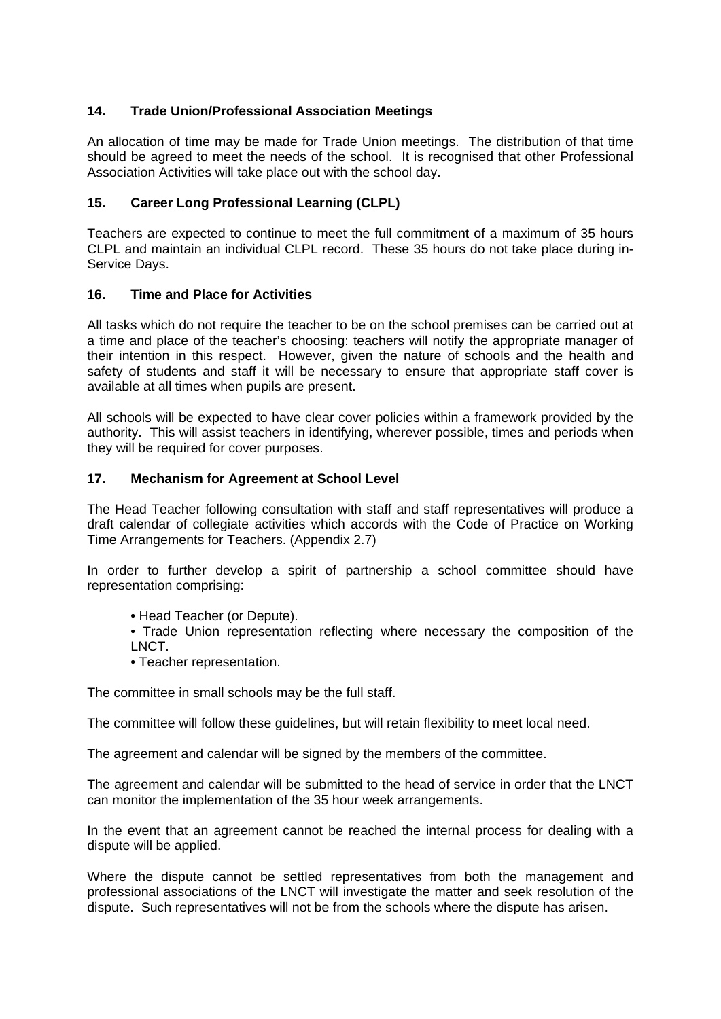## **14. Trade Union/Professional Association Meetings**

An allocation of time may be made for Trade Union meetings. The distribution of that time should be agreed to meet the needs of the school. It is recognised that other Professional Association Activities will take place out with the school day.

### **15. Career Long Professional Learning (CLPL)**

Teachers are expected to continue to meet the full commitment of a maximum of 35 hours CLPL and maintain an individual CLPL record. These 35 hours do not take place during in-Service Days.

#### **16. Time and Place for Activities**

All tasks which do not require the teacher to be on the school premises can be carried out at a time and place of the teacher's choosing: teachers will notify the appropriate manager of their intention in this respect. However, given the nature of schools and the health and safety of students and staff it will be necessary to ensure that appropriate staff cover is available at all times when pupils are present.

All schools will be expected to have clear cover policies within a framework provided by the authority. This will assist teachers in identifying, wherever possible, times and periods when they will be required for cover purposes.

#### **17. Mechanism for Agreement at School Level**

The Head Teacher following consultation with staff and staff representatives will produce a draft calendar of collegiate activities which accords with the Code of Practice on Working Time Arrangements for Teachers. (Appendix 2.7)

In order to further develop a spirit of partnership a school committee should have representation comprising:

- Head Teacher (or Depute).
- Trade Union representation reflecting where necessary the composition of the LNCT.
- Teacher representation.

The committee in small schools may be the full staff.

The committee will follow these guidelines, but will retain flexibility to meet local need.

The agreement and calendar will be signed by the members of the committee.

The agreement and calendar will be submitted to the head of service in order that the LNCT can monitor the implementation of the 35 hour week arrangements.

In the event that an agreement cannot be reached the internal process for dealing with a dispute will be applied.

Where the dispute cannot be settled representatives from both the management and professional associations of the LNCT will investigate the matter and seek resolution of the dispute. Such representatives will not be from the schools where the dispute has arisen.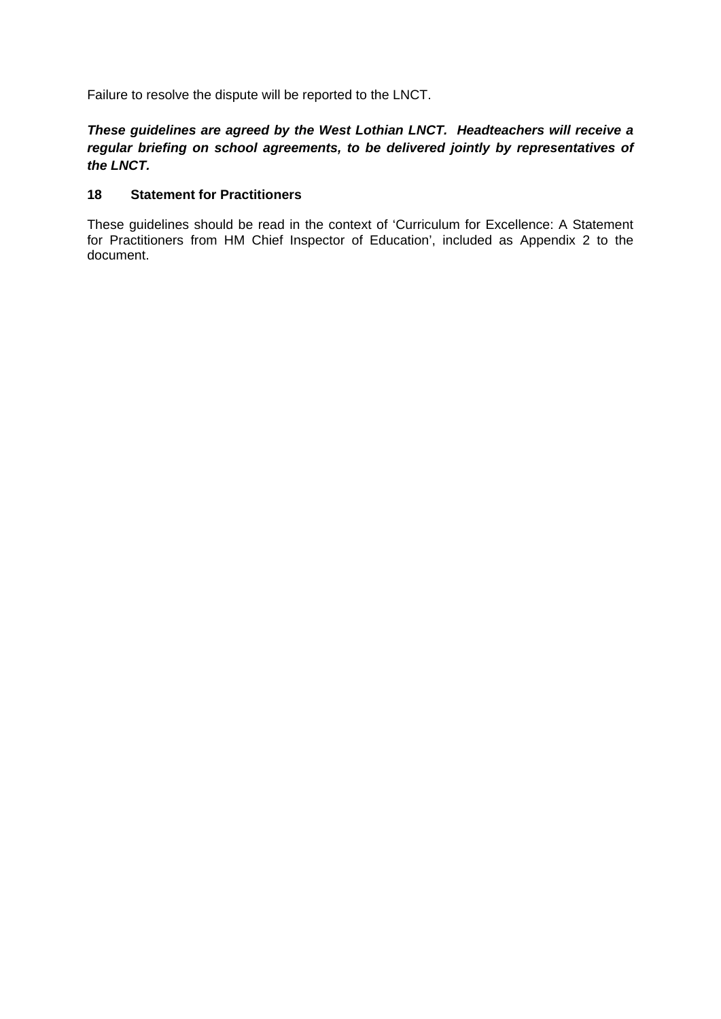Failure to resolve the dispute will be reported to the LNCT.

# *These guidelines are agreed by the West Lothian LNCT. Headteachers will receive a regular briefing on school agreements, to be delivered jointly by representatives of the LNCT.*

### **18 Statement for Practitioners**

These guidelines should be read in the context of 'Curriculum for Excellence: A Statement for Practitioners from HM Chief Inspector of Education', included as Appendix 2 to the document.